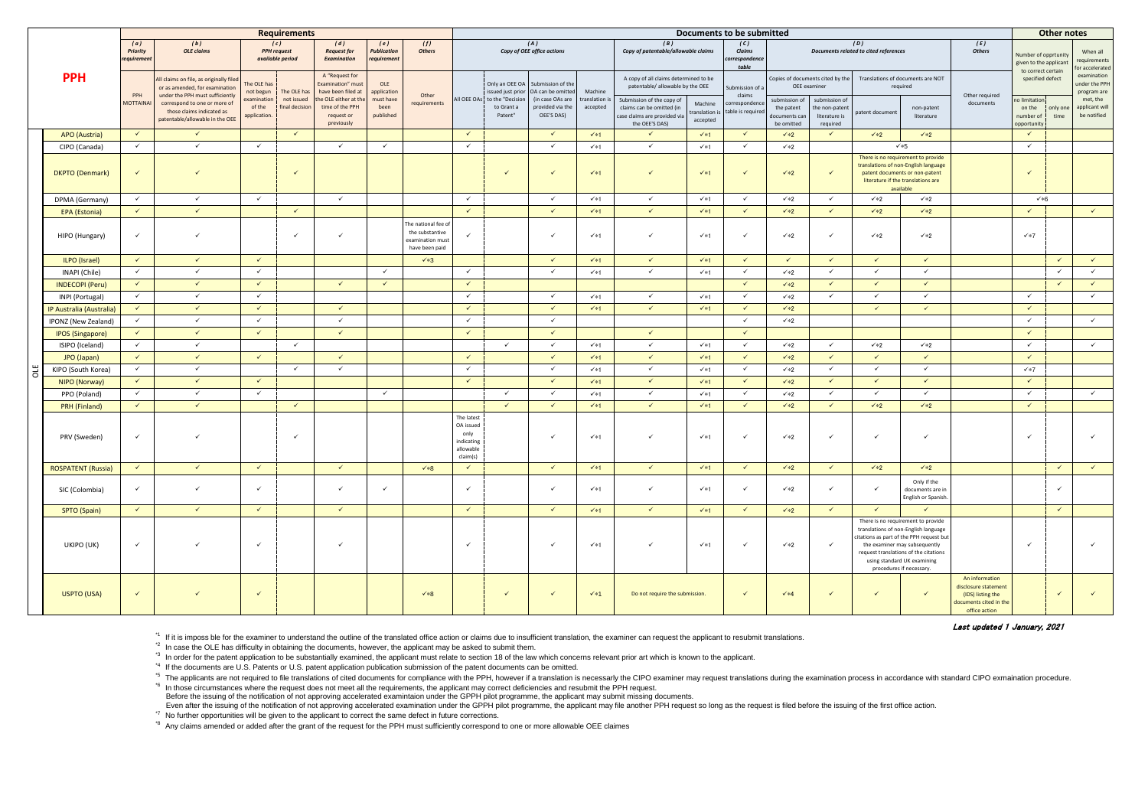Last updated 1 January, 2021

\*4 If the documents are U.S. Patents or U.S. patent application publication submission of the patent documents can be omitted.

\*5 The applicants are not required to file translations of cited documents for compliance with the PPH, however if a translation is necessarly the CIPO examiner may request translations during the examination process in ac <sup>\*6</sup> In those circumstances where the request does not meet all the requirements, the applicant may correct deficiencies and resubmit the PPH request.

|            |                           | <b>Requirements</b>                                               |                                                                                                              |                                               |                           |                                                                                          |                                          |                                                                              |                                                                        | Documents to be submitted                         |                                                                           |                                            |                                                                                                        |                                          |                                    |                                                                                    |                                              |                                               |                                                                                                                                                                                                                                                             |                                                                                                        | Other notes                                             |                                            |                                                         |
|------------|---------------------------|-------------------------------------------------------------------|--------------------------------------------------------------------------------------------------------------|-----------------------------------------------|---------------------------|------------------------------------------------------------------------------------------|------------------------------------------|------------------------------------------------------------------------------|------------------------------------------------------------------------|---------------------------------------------------|---------------------------------------------------------------------------|--------------------------------------------|--------------------------------------------------------------------------------------------------------|------------------------------------------|------------------------------------|------------------------------------------------------------------------------------|----------------------------------------------|-----------------------------------------------|-------------------------------------------------------------------------------------------------------------------------------------------------------------------------------------------------------------------------------------------------------------|--------------------------------------------------------------------------------------------------------|---------------------------------------------------------|--------------------------------------------|---------------------------------------------------------|
| <b>PPH</b> |                           | (a)<br>(b)<br><b>OLE</b> claims<br><b>Priority</b><br>requirement |                                                                                                              | (c)<br><b>PPH</b> request<br>available period |                           | (d)<br><b>Request for</b><br><b>Examination</b>                                          | (e)<br><b>Publication</b><br>requirement | (f)<br><b>Others</b>                                                         |                                                                        |                                                   | (A)<br>Copy of OEE office actions                                         | (B)<br>Copy of patentable/allowable claims |                                                                                                        | (C)<br>Claims<br>correspondence<br>table |                                    |                                                                                    | (D)<br>Documents related to cited references |                                               | (E)<br><b>Others</b>                                                                                                                                                                                                                                        | Number of opprtunity<br>given to the applicant                                                         |                                                         | When all<br>requirements<br>or accelerated |                                                         |
|            |                           | PPH                                                               | All claims on file, as originally filed<br>or as amended, for examination<br>under the PPH must sufficiently | The OLE has<br>not begun<br>examination       | The OLE has<br>not issued | A "Request for<br><b>Examination</b> " must<br>have been filed at<br>he OLE either at th | OLE<br>application<br>must have          | Other                                                                        |                                                                        | issued just prior<br>All OEE OAs to the "Decision | Only an OEE OA Submission of the<br>OA can be omitted<br>(in case OAs are | Machine<br>ranslation i:                   | A copy of all claims determined to be<br>patentable/ allowable by the OEE<br>Submission of the copy of |                                          | Submission of a<br>claims          | Copies of documents cited by the<br>OEE examiner<br>submission of<br>submission of |                                              | Translations of documents are NOT<br>required |                                                                                                                                                                                                                                                             | Other required                                                                                         | to correct certain<br>specified defect<br>no limitation |                                            | examination<br>under the PPH<br>program are<br>met, the |
|            |                           | <b>MOTTAINA</b>                                                   | correspond to one or more of<br>those claims indicated as<br>patentable/allowable in the OEE                 | of the<br>application.                        | final decision            | time of the PPH<br>request or<br>previously                                              | been<br>published                        | requirements                                                                 |                                                                        | to Grant a<br>Patent"                             | provided via the<br>OEE'S DAS)                                            | accepted                                   | claims can be omitted (in<br>case claims are provided via<br>the OEE'S DAS)                            | Machine<br>translation<br>accepted       | correspondence<br>able is required | the patent<br>documents can<br>be omitted                                          | the non-paten<br>literature is<br>required   | atent document                                | non-patent<br>literature                                                                                                                                                                                                                                    | documents                                                                                              | on the<br>number of<br>opportunity                      | only one<br>time                           | applicant will<br>be notified                           |
|            | <b>APO</b> (Austria)      | $\checkmark$                                                      | $\checkmark$                                                                                                 |                                               | $\checkmark$              |                                                                                          |                                          |                                                                              | $\checkmark$                                                           |                                                   | $\checkmark$                                                              | $\checkmark$ *1                            | $\checkmark$                                                                                           | $\checkmark$                             | $\checkmark$                       | $\checkmark$ *2                                                                    | $\checkmark$                                 | $\sqrt{*2}$                                   | $\checkmark*2$                                                                                                                                                                                                                                              |                                                                                                        | $\checkmark$                                            |                                            |                                                         |
|            | CIPO (Canada)             | $\checkmark$                                                      | $\checkmark$                                                                                                 | $\checkmark$                                  |                           | $\checkmark$                                                                             | $\checkmark$                             |                                                                              | $\checkmark$                                                           |                                                   | $\checkmark$                                                              | $\checkmark$ *1                            | $\checkmark$                                                                                           | $\checkmark$ *1                          | $\checkmark$                       | $\checkmark*2$                                                                     |                                              |                                               | $\checkmark$ *5                                                                                                                                                                                                                                             |                                                                                                        | $\checkmark$                                            |                                            |                                                         |
|            | <b>DKPTO</b> (Denmark)    | $\checkmark$                                                      | $\checkmark$                                                                                                 |                                               | $\checkmark$              |                                                                                          |                                          |                                                                              |                                                                        | $\checkmark$                                      | $\checkmark$                                                              | $\checkmark$ *1                            | $\checkmark$                                                                                           | $\checkmark$ *1                          | $\checkmark$                       | $\checkmark$ *2                                                                    | $\checkmark$                                 |                                               | There is no requirement to provide<br>translations of non-English language<br>patent documents or non-patent<br>literature if the translations are<br>available                                                                                             |                                                                                                        | $\checkmark$                                            |                                            |                                                         |
|            | DPMA (Germany)            | $\checkmark$                                                      | $\checkmark$                                                                                                 | $\checkmark$                                  |                           | $\checkmark$                                                                             |                                          |                                                                              | $\checkmark$                                                           |                                                   | $\checkmark$                                                              | $\checkmark$ *1                            | $\checkmark$                                                                                           | $\checkmark$ *1                          | $\checkmark$                       | $\checkmark*2$                                                                     | $\checkmark$                                 | $\checkmark*2$                                | $\checkmark*2$                                                                                                                                                                                                                                              |                                                                                                        | ×6                                                      |                                            |                                                         |
|            | <b>EPA</b> (Estonia)      | $\checkmark$                                                      | $\checkmark$                                                                                                 |                                               | $\checkmark$              |                                                                                          |                                          |                                                                              | $\checkmark$                                                           |                                                   | $\checkmark$                                                              | $\checkmark$ *1                            | $\checkmark$                                                                                           | $\checkmark$                             | $\checkmark$                       | $\checkmark$ *2                                                                    | $\checkmark$                                 | $\checkmark*2$                                | $\checkmark$ *2                                                                                                                                                                                                                                             |                                                                                                        | $\checkmark$                                            |                                            | $\checkmark$                                            |
|            | HIPO (Hungary)            | $\checkmark$                                                      | $\checkmark$                                                                                                 |                                               | $\checkmark$              | $\checkmark$                                                                             |                                          | The national fee of<br>the substantive<br>examination must<br>have been paid | $\checkmark$                                                           |                                                   | $\checkmark$                                                              | $\checkmark$ *1                            | $\checkmark$                                                                                           | $\checkmark$ *1                          | $\checkmark$                       | $\checkmark*2$                                                                     | $\checkmark$                                 | $\checkmark*2$                                | $\checkmark*2$                                                                                                                                                                                                                                              |                                                                                                        | $\checkmark$ *7                                         |                                            |                                                         |
|            | ILPO (Israel)             | $\checkmark$                                                      | $\checkmark$                                                                                                 | $\checkmark$                                  |                           |                                                                                          |                                          | $\sqrt*3$                                                                    |                                                                        |                                                   | $\checkmark$                                                              | $\checkmark$ *1                            | $\checkmark$                                                                                           | $\checkmark$ *1                          | $\checkmark$                       | $\checkmark$                                                                       | $\checkmark$                                 | $\checkmark$                                  | $\checkmark$                                                                                                                                                                                                                                                |                                                                                                        |                                                         | $\checkmark$                               | $\checkmark$                                            |
|            | INAPI (Chile)             | $\checkmark$                                                      | $\checkmark$                                                                                                 | $\checkmark$                                  |                           |                                                                                          | $\checkmark$                             |                                                                              | $\checkmark$                                                           |                                                   | $\checkmark$                                                              | $\checkmark$ *1                            | $\checkmark$                                                                                           | $\checkmark$ *1                          | $\checkmark$                       | $\checkmark*2$                                                                     | $\checkmark$                                 | $\checkmark$                                  | $\checkmark$                                                                                                                                                                                                                                                |                                                                                                        |                                                         | $\checkmark$                               | $\checkmark$                                            |
|            | <b>INDECOPI (Peru)</b>    | $\checkmark$                                                      | $\checkmark$                                                                                                 | $\checkmark$                                  |                           | $\checkmark$                                                                             | $\checkmark$                             |                                                                              | $\checkmark$                                                           |                                                   |                                                                           |                                            |                                                                                                        |                                          | $\checkmark$                       | $\checkmark$ *2                                                                    | $\checkmark$                                 | $\checkmark$                                  | $\checkmark$                                                                                                                                                                                                                                                |                                                                                                        |                                                         | $\checkmark$                               | $\checkmark$                                            |
|            | INPI (Portugal)           | $\checkmark$                                                      | $\checkmark$                                                                                                 | $\checkmark$                                  |                           |                                                                                          |                                          |                                                                              | $\checkmark$                                                           |                                                   | $\checkmark$                                                              | $\checkmark$ *1                            | $\checkmark$                                                                                           | $\checkmark$ *1                          | $\checkmark$                       | $\checkmark*2$                                                                     | $\checkmark$                                 | $\checkmark$                                  | $\checkmark$                                                                                                                                                                                                                                                |                                                                                                        | $\checkmark$                                            |                                            | $\checkmark$                                            |
|            | IP Australia (Australia)  | $\checkmark$                                                      | $\checkmark$                                                                                                 | $\checkmark$                                  |                           | $\checkmark$                                                                             |                                          |                                                                              | $\checkmark$                                                           |                                                   | $\checkmark$                                                              | $\checkmark$ *1                            | $\checkmark$                                                                                           | $\sqrt{*1}$                              | $\checkmark$                       | $\checkmark*2$                                                                     |                                              | $\checkmark$                                  | $\checkmark$                                                                                                                                                                                                                                                |                                                                                                        | $\checkmark$                                            |                                            |                                                         |
|            | IPONZ (New Zealand)       | $\checkmark$                                                      | $\checkmark$                                                                                                 | $\checkmark$                                  |                           | $\checkmark$                                                                             |                                          |                                                                              | $\checkmark$                                                           |                                                   | $\checkmark$                                                              |                                            |                                                                                                        |                                          | $\checkmark$                       | $\checkmark*2$                                                                     |                                              |                                               |                                                                                                                                                                                                                                                             |                                                                                                        | $\checkmark$                                            |                                            | $\checkmark$                                            |
|            | <b>IPOS (Singapore)</b>   | $\checkmark$                                                      | $\checkmark$                                                                                                 | $\checkmark$                                  |                           | $\checkmark$                                                                             |                                          |                                                                              | $\checkmark$                                                           |                                                   | $\checkmark$                                                              |                                            | $\checkmark$                                                                                           |                                          | $\checkmark$                       |                                                                                    |                                              |                                               |                                                                                                                                                                                                                                                             |                                                                                                        | $\checkmark$                                            |                                            |                                                         |
|            | ISIPO (Iceland)           | $\checkmark$                                                      | $\checkmark$                                                                                                 |                                               | $\checkmark$              |                                                                                          |                                          |                                                                              |                                                                        | $\checkmark$                                      | $\checkmark$                                                              | $\checkmark$ *1                            | $\checkmark$                                                                                           | $\checkmark$ *1                          | $\checkmark$                       | $\checkmark*2$                                                                     | $\checkmark$                                 | $\checkmark*2$                                | $\checkmark*2$                                                                                                                                                                                                                                              |                                                                                                        | $\checkmark$                                            |                                            | $\checkmark$                                            |
|            | JPO (Japan)               | $\checkmark$                                                      | $\checkmark$                                                                                                 | $\checkmark$                                  |                           | $\checkmark$                                                                             |                                          |                                                                              | $\checkmark$                                                           |                                                   | $\checkmark$                                                              | $\checkmark$ *1                            | $\checkmark$                                                                                           | $\sqrt{*1}$                              | $\checkmark$                       | $\checkmark$ *2                                                                    | $\checkmark$                                 | $\checkmark$                                  | $\sqrt{2}$                                                                                                                                                                                                                                                  |                                                                                                        | $\checkmark$                                            |                                            |                                                         |
| ă          | KIPO (South Korea)        | $\checkmark$                                                      | $\checkmark$                                                                                                 |                                               | $\checkmark$              | $\checkmark$                                                                             |                                          |                                                                              | $\checkmark$                                                           |                                                   | $\checkmark$                                                              | $\checkmark$ *1                            | $\checkmark$                                                                                           | $\checkmark$ *1                          | $\checkmark$                       | $\checkmark*2$                                                                     | $\checkmark$                                 | $\checkmark$                                  | $\checkmark$                                                                                                                                                                                                                                                |                                                                                                        | $\checkmark$ *7                                         |                                            |                                                         |
|            | NIPO (Norway)             | $\checkmark$                                                      | $\checkmark$                                                                                                 | $\checkmark$                                  |                           |                                                                                          |                                          |                                                                              | $\checkmark$                                                           |                                                   | $\checkmark$                                                              | $\checkmark$ *1                            | $\checkmark$                                                                                           | $\checkmark$ *1                          | $\checkmark$                       | $\checkmark*2$                                                                     | $\checkmark$                                 | $\checkmark$                                  | $\checkmark$                                                                                                                                                                                                                                                |                                                                                                        | $\checkmark$                                            |                                            |                                                         |
|            | PPO (Poland)              | $\checkmark$                                                      | $\checkmark$                                                                                                 | $\checkmark$                                  |                           |                                                                                          | $\checkmark$                             |                                                                              |                                                                        | $\checkmark$                                      | $\checkmark$                                                              | $\checkmark$ *1                            | $\checkmark$                                                                                           | $\checkmark$ *1                          | $\checkmark$                       | $\checkmark*2$                                                                     | $\checkmark$                                 | $\checkmark$                                  | $\checkmark$                                                                                                                                                                                                                                                |                                                                                                        | $\checkmark$                                            |                                            | $\checkmark$                                            |
|            | <b>PRH</b> (Finland)      | $\checkmark$                                                      | $\checkmark$                                                                                                 |                                               | $\checkmark$              |                                                                                          |                                          |                                                                              |                                                                        | $\checkmark$                                      | $\checkmark$                                                              | $\checkmark$ *1                            | $\checkmark$                                                                                           | $\checkmark$                             | $\checkmark$                       | $\checkmark*2$                                                                     | $\checkmark$                                 | $\checkmark$ *2                               | $\checkmark*2$                                                                                                                                                                                                                                              |                                                                                                        | $\checkmark$                                            |                                            |                                                         |
|            | PRV (Sweden)              | $\checkmark$                                                      | $\checkmark$                                                                                                 |                                               | $\checkmark$              |                                                                                          |                                          |                                                                              | The latest<br>OA issued<br>only<br>indicating<br>allowable<br>claim(s) |                                                   | $\checkmark$                                                              | $\checkmark*1$                             |                                                                                                        | $\checkmark$ *1                          | $\checkmark$                       | $\checkmark*2$                                                                     | $\checkmark$                                 | $\checkmark$                                  | ✓                                                                                                                                                                                                                                                           |                                                                                                        |                                                         |                                            |                                                         |
|            | <b>ROSPATENT (Russia)</b> | $\checkmark$                                                      | $\checkmark$                                                                                                 | $\checkmark$                                  |                           | $\checkmark$                                                                             |                                          | $\times$ *8                                                                  | $\checkmark$                                                           |                                                   | $\checkmark$                                                              | $\checkmark$                               | $\checkmark$                                                                                           | $\checkmark$                             | $\checkmark$                       | $\checkmark$ *2                                                                    | $\checkmark$                                 | $\checkmark$ *2                               | $\sqrt{*2}$                                                                                                                                                                                                                                                 |                                                                                                        |                                                         | $\checkmark$                               | $\checkmark$                                            |
|            | SIC (Colombia)            | $\checkmark$                                                      | $\checkmark$                                                                                                 | $\checkmark$                                  |                           | $\checkmark$                                                                             | $\checkmark$                             |                                                                              | $\checkmark$                                                           |                                                   | $\checkmark$                                                              | $\checkmark$ *1                            | ✓                                                                                                      | $\checkmark$ *1                          | $\checkmark$                       | $\checkmark*2$                                                                     | $\checkmark$                                 | $\checkmark$                                  | Only if the<br>documents are in<br>English or Spanish.                                                                                                                                                                                                      |                                                                                                        |                                                         | $\checkmark$                               |                                                         |
|            | SPTO (Spain)              | $\checkmark$                                                      | $\checkmark$                                                                                                 | $\checkmark$                                  |                           | $\checkmark$                                                                             |                                          |                                                                              | $\checkmark$                                                           |                                                   | $\checkmark$                                                              | $\checkmark$ *1                            | $\checkmark$                                                                                           | $\checkmark$                             | $\checkmark$                       | $\checkmark*2$                                                                     | $\checkmark$                                 | $\checkmark$                                  | $\checkmark$                                                                                                                                                                                                                                                |                                                                                                        |                                                         | $\checkmark$                               |                                                         |
|            | UKIPO (UK)                | $\checkmark$                                                      | $\checkmark$                                                                                                 | $\checkmark$                                  |                           | $\checkmark$                                                                             |                                          |                                                                              | $\checkmark$                                                           |                                                   | $\checkmark$                                                              | $\checkmark$ *1                            | $\checkmark$                                                                                           | $\checkmark$ *1                          | $\checkmark$                       | $\checkmark*2$                                                                     | $\checkmark$                                 |                                               | There is no requirement to provide<br>translations of non-English language<br>citations as part of the PPH request but<br>the examiner may subsequently<br>request translations of the citations<br>using standard UK examining<br>procedures if necessary. |                                                                                                        | $\checkmark$                                            |                                            | $\checkmark$                                            |
|            | USPTO (USA)               | $\checkmark$                                                      | $\checkmark$                                                                                                 | $\checkmark$                                  |                           |                                                                                          |                                          | $\checkmark*8$                                                               |                                                                        | $\sqrt{}$                                         | $\checkmark$                                                              | $\sqrt{*1}$                                | Do not require the submission.                                                                         |                                          | $\checkmark$                       | $\sqrt{*4}$                                                                        | $\checkmark$                                 | $\checkmark$                                  | $\checkmark$                                                                                                                                                                                                                                                | An information<br>disclosure statement<br>(IDS) listing the<br>documents cited in the<br>office action |                                                         |                                            | $\checkmark$                                            |

<sup>\*1</sup> If it is imposs ble for the examiner to understand the outline of the translated office action or claims due to insufficient translation, the examiner can request the applicant to resubmit translations.

<sup>2</sup> In case the OLE has difficulty in obtaining the documents, however, the applicant may be asked to submit them.

<sup>3</sup> In order for the patent application to be substantially examined, the applicant must relate to section 18 of the law which concerns relevant prior art which is known to the applicant.

Before the issuing of the notification of not approving accelerated examintaion under the GPPH pilot programme, the applicant may submit missing documents.

Even after the issuing of the notification of not approving accelerated examination under the GPPH pilot programme, the applicant may file another PPH request so long as the request is filed before the issuing of the first <sup>\*7</sup> No further opportunities will be given to the applicant to correct the same defect in future corrections.

\*8 Any claims amended or added after the grant of the request for the PPH must sufficiently correspond to one or more allowable OEE claimes